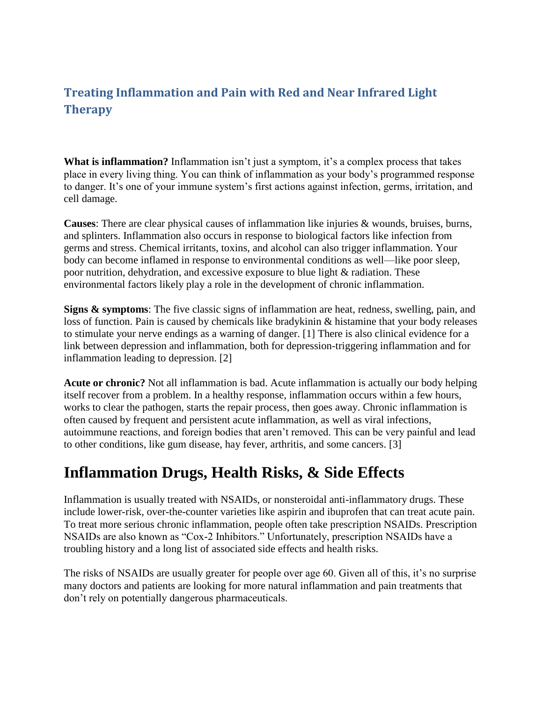## **Treating Inflammation and Pain with Red and Near Infrared Light Therapy**

**What is inflammation?** Inflammation isn't just a symptom, it's a complex process that takes place in every living thing. You can think of inflammation as your body's programmed response to danger. It's one of your immune system's first actions against infection, germs, irritation, and cell damage.

**Causes**: There are clear physical causes of inflammation like injuries & wounds, bruises, burns, and splinters. Inflammation also occurs in response to biological factors like infection from germs and stress. Chemical irritants, toxins, and alcohol can also trigger inflammation. Your body can become inflamed in response to environmental conditions as well—like poor sleep, poor nutrition, dehydration, and excessive exposure to blue light & radiation. These environmental factors likely play a role in the development of chronic inflammation.

**Signs & symptoms**: The five classic signs of inflammation are heat, redness, swelling, pain, and loss of function. Pain is caused by chemicals like bradykinin & histamine that your body releases to stimulate your nerve endings as a warning of danger. [1] There is also clinical evidence for a link between depression and inflammation, both for depression-triggering inflammation and for inflammation leading to depression. [2]

**Acute or chronic?** Not all inflammation is bad. Acute inflammation is actually our body helping itself recover from a problem. In a healthy response, inflammation occurs within a few hours, works to clear the pathogen, starts the repair process, then goes away. Chronic inflammation is often caused by frequent and persistent acute inflammation, as well as viral infections, autoimmune reactions, and foreign bodies that aren't removed. This can be very painful and lead to other conditions, like gum disease, hay fever, arthritis, and some cancers. [3]

## **Inflammation Drugs, Health Risks, & Side Effects**

Inflammation is usually treated with NSAIDs, or nonsteroidal anti-inflammatory drugs. These include lower-risk, over-the-counter varieties like aspirin and ibuprofen that can treat acute pain. To treat more serious chronic inflammation, people often take prescription NSAIDs. Prescription NSAIDs are also known as "Cox-2 Inhibitors." Unfortunately, prescription NSAIDs have a troubling history and a long list of associated side effects and health risks.

The risks of NSAIDs are usually greater for people over age 60. Given all of this, it's no surprise many doctors and patients are looking for more natural inflammation and pain treatments that don't rely on potentially dangerous pharmaceuticals.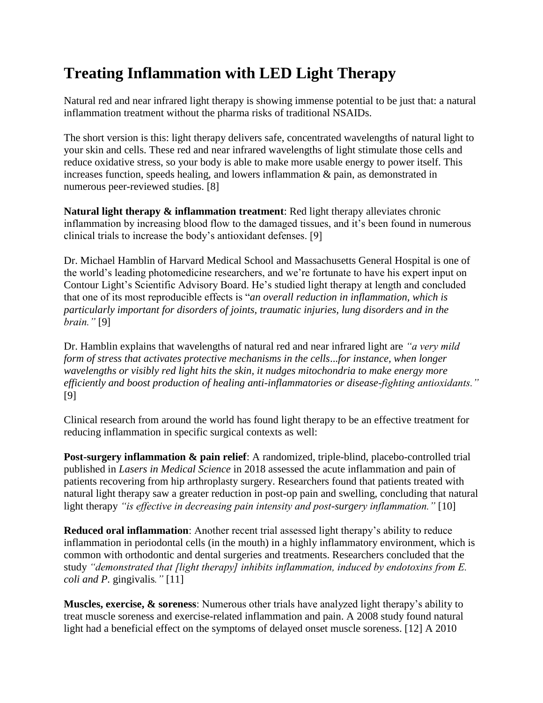## **Treating Inflammation with LED Light Therapy**

Natural red and near infrared light therapy is showing immense potential to be just that: a natural inflammation treatment without the pharma risks of traditional NSAIDs.

The short version is this: light therapy delivers safe, concentrated wavelengths of natural light to your skin and cells. These red and near infrared wavelengths of light stimulate those cells and reduce oxidative stress, so your body is able to make more usable energy to power itself. This increases function, speeds healing, and lowers inflammation & pain, as demonstrated in numerous peer-reviewed studies. [8]

**Natural light therapy & inflammation treatment**: Red light therapy alleviates chronic inflammation by increasing blood flow to the damaged tissues, and it's been found in numerous clinical trials to increase the body's antioxidant defenses. [9]

Dr. Michael Hamblin of Harvard Medical School and Massachusetts General Hospital is one of the world's leading photomedicine researchers, and we're fortunate to have his expert input on Contour Light's Scientific Advisory Board. He's studied light therapy at length and concluded that one of its most reproducible effects is "*an overall reduction in inflammation, which is particularly important for disorders of joints, traumatic injuries, lung disorders and in the brain."* [9]

Dr. Hamblin explains that wavelengths of natural red and near infrared light are *"a very mild form of stress that activates protective mechanisms in the cells*...*for instance, when longer wavelengths or visibly red light hits the skin, it nudges mitochondria to make energy more efficiently and boost production of healing anti-inflammatories or disease-fighting antioxidants."* [9]

Clinical research from around the world has found light therapy to be an effective treatment for reducing inflammation in specific surgical contexts as well:

**Post-surgery inflammation & pain relief**: A randomized, triple-blind, placebo-controlled trial published in *Lasers in Medical Science* in 2018 assessed the acute inflammation and pain of patients recovering from hip arthroplasty surgery. Researchers found that patients treated with natural light therapy saw a greater reduction in post-op pain and swelling, concluding that natural light therapy *"is effective in decreasing pain intensity and post-surgery inflammation."* [10]

**Reduced oral inflammation**: Another recent trial assessed light therapy's ability to reduce inflammation in periodontal cells (in the mouth) in a highly inflammatory environment, which is common with orthodontic and dental surgeries and treatments. Researchers concluded that the study *"demonstrated that [light therapy] inhibits inflammation, induced by endotoxins from E. coli and P.* gingivalis*."* [11]

**Muscles, exercise, & soreness**: Numerous other trials have analyzed light therapy's ability to treat muscle soreness and exercise-related inflammation and pain. A 2008 study found natural light had a beneficial effect on the symptoms of delayed onset muscle soreness. [12] A 2010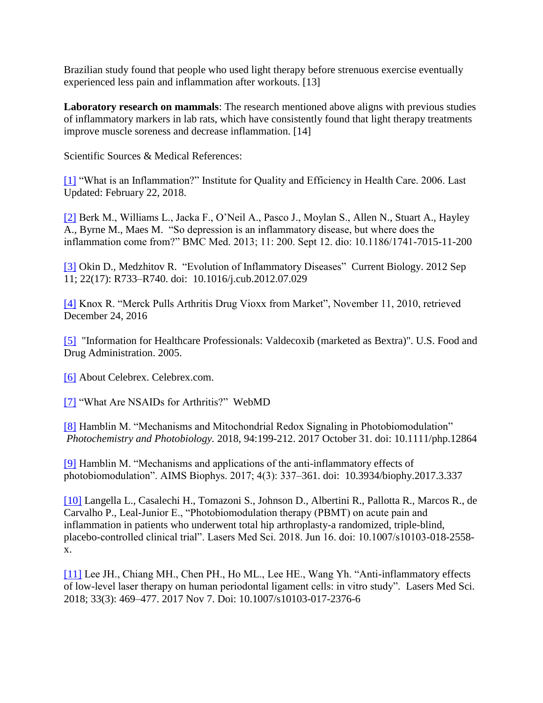Brazilian study found that people who used light therapy before strenuous exercise eventually experienced less pain and inflammation after workouts. [13]

**Laboratory research on mammals**: The research mentioned above aligns with previous studies of inflammatory markers in lab rats, which have consistently found that light therapy treatments improve muscle soreness and decrease inflammation. [14]

Scientific Sources & Medical References:

[\[1\]](https://www.ncbi.nlm.nih.gov/books/NBK279298/) "What is an Inflammation?" Institute for Quality and Efficiency in Health Care. 2006. Last Updated: February 22, 2018.

[\[2\]](https://www.ncbi.nlm.nih.gov/pmc/articles/PMC3846682/) Berk M., Williams L., Jacka F., O'Neil A., Pasco J., Moylan S., Allen N., Stuart A., Hayley A., Byrne M., Maes M. "So depression is an inflammatory disease, but where does the inflammation come from?" BMC Med. 2013; 11: 200. Sept 12. dio: 10.1186/1741-7015-11-200

[\[3\]](https://www.ncbi.nlm.nih.gov/pmc/articles/PMC3601794/) Okin D., Medzhitov R. "Evolution of Inflammatory Diseases" Current Biology. 2012 Sep 11; 22(17): R733–R740. doi: 10.1016/j.cub.2012.07.029

[\[4\]](https://web.archive.org/web/20101111103315/http:/www.npr.org/templates/story/story.php?storyId=4054991) Knox R. "Merck Pulls Arthritis Drug Vioxx from Market", November 11, 2010, retrieved December 24, 2016

[\[5\]](https://www.fda.gov/Drugs/DrugSafety/PostmarketDrugSafetyInformationforPatientsandProviders/ucm124649.htm) "Information for Healthcare Professionals: Valdecoxib (marketed as Bextra)". U.S. Food and Drug Administration. 2005.

[\[6\]](https://www.celebrex.com/about-celebrex) About Celebrex. Celebrex.com.

[\[7\]](https://www.webmd.com/arthritis/anti-inflammatory-drugs#1) "What Are NSAIDs for Arthritis?" WebMD

[\[8\]](https://www.ncbi.nlm.nih.gov/pmc/articles/PMC5523874/) Hamblin M. "Mechanisms and Mitochondrial Redox Signaling in Photobiomodulation" *Photochemistry and Photobiology.* 2018, 94:199-212. 2017 October 31. doi: 10.1111/php.12864

[\[9\]](https://www.ncbi.nlm.nih.gov/pmc/articles/PMC5523874/) Hamblin M. "Mechanisms and applications of the anti-inflammatory effects of photobiomodulation". AIMS Biophys. 2017; 4(3): 337–361. doi: 10.3934/biophy.2017.3.337

[\[10\]](https://www.ncbi.nlm.nih.gov/pubmed/29909435) Langella L., Casalechi H., Tomazoni S., Johnson D., Albertini R., Pallotta R., Marcos R., de Carvalho P., Leal-Junior E., "Photobiomodulation therapy (PBMT) on acute pain and inflammation in patients who underwent total hip arthroplasty-a randomized, triple-blind, placebo-controlled clinical trial". Lasers Med Sci. 2018. Jun 16. doi: 10.1007/s10103-018-2558 x.

[\[11\]](https://www.ncbi.nlm.nih.gov/pubmed/29116611) Lee JH., Chiang MH., Chen PH., Ho ML., Lee HE., Wang Yh. "Anti-inflammatory effects of low-level laser therapy on human periodontal ligament cells: in vitro study". Lasers Med Sci. 2018; 33(3): 469–477. 2017 Nov 7. Doi: 10.1007/s10103-017-2376-6